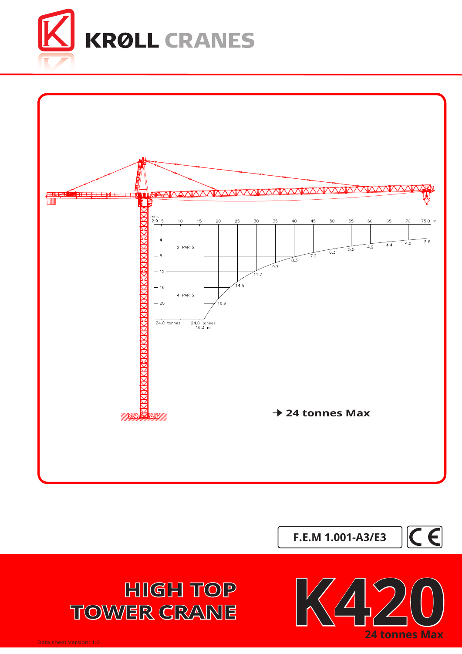



**F.E.M 1.001-A3/E3**





**TOWER CRANE**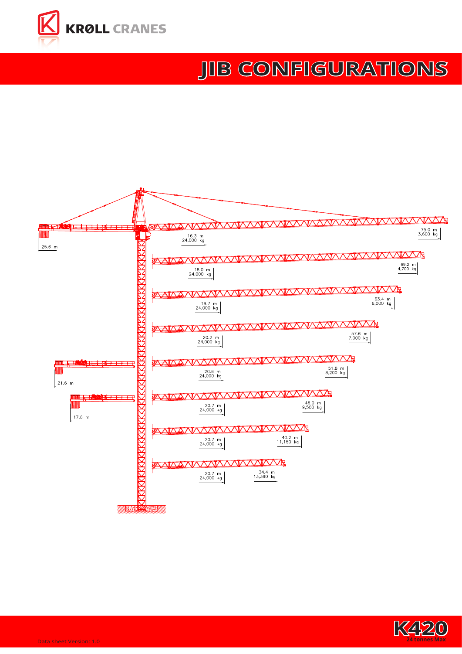

## **[JIB](http://www.krollcranes.dk) CONFIGURATIONS**



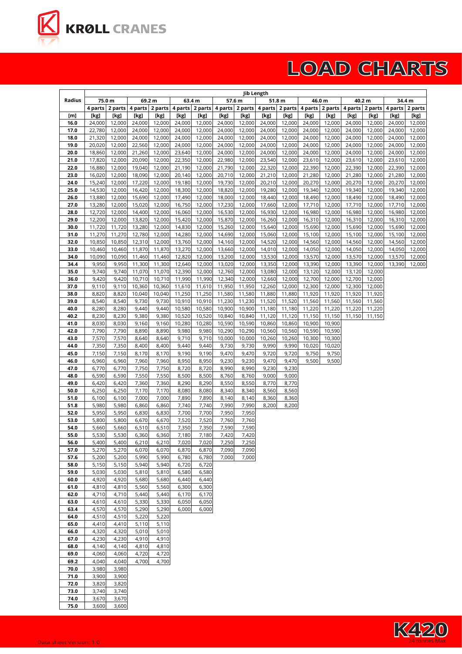

## **LOAD CHARTS**

|              | Jib Length       |                  |                  |                  |                  |                   |                  |                   |                  |                  |                  |                  |                  |                   |                  |                  |
|--------------|------------------|------------------|------------------|------------------|------------------|-------------------|------------------|-------------------|------------------|------------------|------------------|------------------|------------------|-------------------|------------------|------------------|
| Radius       | 75.0 m           |                  |                  | 69.2 m           |                  | 63.4 m            |                  | 57.6 m            |                  | 51.8 m           |                  | 46.0 m           |                  | 40.2 m            | 34.4 m           |                  |
|              | 4 parts          | 2 parts          | 4 parts          | 2 parts          |                  | 4 parts   2 parts |                  | 4 parts   2 parts | 4 parts          | 2 parts          |                  | 4 parts 2 parts  |                  | 4 parts   2 parts | 4 parts          | 2 parts          |
| [m]          | [kg]             | [kg]             | [kg]             | [kg]             | [kg]             | [kg]              | [kg]             | [kg]              | [kg]             | [kg]             | [kg]             | [kg]             | [kg]             | [kg]              | [kg]             | [kg]             |
| 16.0<br>17.0 | 24,000<br>22,780 | 12,000<br>12,000 | 24,000<br>24,000 | 12,000<br>12,000 | 24,000<br>24,000 | 12,000<br>12,000  | 24,000<br>24,000 | 12,000<br>12,000  | 24,000<br>24,000 | 12,000<br>12,000 | 24,000<br>24,000 | 12,000<br>12,000 | 24,000<br>24,000 | 12,000<br>12,000  | 24,000<br>24,000 | 12,000<br>12,000 |
| 18.0         | 21,320           | 12,000           | 24,000           | 12,000           | 24,000           | 12,000            | 24,000           | 12,000            | 24,000           | 12,000           | 24,000           | 12,000           | 24,000           | 12,000            | 24,000           | 12,000           |
| 19.0         | 20,020           | 12,000           | 22,560           | 12,000           | 24,000           | 12,000            | 24,000           | 12,000            | 24,000           | 12,000           | 24,000           | 12,000           | 24,000           | 12,000            | 24,000           | 12,000           |
| 20.0         | 18,860           | 12,000           | 21,260           | 12,000           | 23,640           | 12,000            | 24,000           | 12,000            | 24,000           | 12,000           | 24,000           | 12,000           | 24,000           | 12,000            | 24,000           | 12,000           |
| 21.0         | 17,820           | 12,000           | 20,090           | 12,000           | 22,350           | 12,000            | 22,980           | 12,000            | 23,540           | 12,000           | 23,610           | 12,000           | 23,610           | 12,000            | 23,610           | 12,000           |
| 22.0         | 16,880           | 12,000           | 19,040           | 12,000           | 21,190           | 12,000            | 21,790           | 12,000            | 22,320           | 12,000           | 22,390           | 12,000           | 22,390           | 12,000            | 22,390           | 12,000           |
| 23.0         | 16,020           | 12,000           | 18,090           | 12,000           | 20,140           | 12,000            | 20,710           | 12,000            | 21,210           | 12,000           | 21,280           | 12,000           | 21,280           | 12,000            | 21,280           | 12,000           |
| 24.0         | 15,240           | 12,000           | 17,220           | 12,000           | 19,180           | 12,000            | 19,730           | 12,000            | 20,210           | 12,000           | 20,270           | 12,000           | 20,270           | 12,000            | 20,270           | 12,000           |
| 25.0         | 14,530           | 12,000           | 16,420           | 12,000           | 18,300           | 12,000            | 18,820           | 12,000            | 19,280           | 12,000           | 19,340           | 12,000           | 19,340           | 12,000            | 19,340           | 12,000           |
| 26.0         | 13,880           | 12,000           | 15,690           | 12,000           | 17,490           | 12,000            | 18,000           | 12,000            | 18,440           | 12,000           | 18,490           | 12,000           | 18,490           | 12,000            | 18,490           | 12,000           |
| 27.0         | 13,280           | 12,000           | 15,020           | 12,000           | 16,750           | 12,000            | 17,230           | 12,000            | 17,660           | 12,000           | 17,710           | 12,000           | 17,710           | 12,000            | 17,710           | 12,000           |
| 28.0<br>29.0 | 12,720<br>12,200 | 12,000<br>12,000 | 14,400<br>13,820 | 12,000<br>12,000 | 16,060<br>15,420 | 12,000<br>12,000  | 16,530<br>15,870 | 12,000<br>12,000  | 16,930<br>16,260 | 12,000<br>12,000 | 16,980<br>16,310 | 12,000<br>12,000 | 16,980<br>16,310 | 12,000<br>12,000  | 16,980<br>16,310 | 12,000<br>12,000 |
| 30.0         | 11,720           | 11,720           | 13,280           | 12,000           | 14,830           | 12,000            | 15,260           | 12,000            | 15,640           | 12,000           | 15,690           | 12,000           | 15,690           | 12,000            | 15,690           | 12,000           |
| 31.0         | 11,270           | 11,270           | 12,780           | 12,000           | 14,280           | 12,000            | 14,690           | 12,000            | 15,060           | 12,000           | 15,100           | 12,000           | 15,100           | 12,000            | 15,100           | 12,000           |
| 32.0         | 10,850           | 10,850           | 12,310           | 12,000           | 13,760           | 12,000            | 14,160           | 12,000            | 14,520           | 12,000           | 14,560           | 12,000           | 14,560           | 12,000            | 14,560           | 12,000           |
| 33.0         | 10,460           | 10,460           | 11,870           | 11,870           | 13,270           | 12,000            | 13,660           | 12,000            | 14,010           | 12,000           | 14,050           | 12,000           | 14,050           | 12,000            | 14,050           | 12,000           |
| 34.0         | 10,090           | 10,090           | 11,460           | 11,460           | 12,820           | 12,000            | 13,200           | 12,000            | 13,530           | 12,000           | 13,570           | 12,000           | 13,570           | 12,000            | 13,570           | 12,000           |
| 34.4         | 9,950            | 9,950            | 11,300           | 11,300           | 12,640           | 12,000            | 13,020           | 12,000            | 13,350           | 12,000           | 13,390           | 12,000           | 13,390           | 12,000            | 13,390           | 12,000           |
| 35.0         | 9,740            | 9,740            | 11,070           | 11,070           | 12,390           | 12,000            | 12,760           | 12,000            | 13,080           | 12,000           | 13,120           | 12,000           | 13,120           | 12,000            |                  |                  |
| 36.0         | 9,420            | 9,420            | 10,710           | 10,710           | 11,990           | 11,990            | 12,340           | 12,000            | 12,660           | 12,000           | 12,700           | 12,000           | 12,700           | 12,000            |                  |                  |
| 37.0         | 9,110            | 9,110            | 10,360           | 10,360           | 11,610           | 11,610            | 11,950           | 11,950            | 12,260           | 12,000           | 12,300           | 12,000           | 12,300           | 12,000            |                  |                  |
| 38.0<br>39.0 | 8,820<br>8,540   | 8,820<br>8,540   | 10,040<br>9,730  | 10,040<br>9,730  | 11,250<br>10,910 | 11,250<br>10,910  | 11,580<br>11,230 | 11,580<br>11,230  | 11,880<br>11,520 | 11,880<br>11,520 | 11,920<br>11,560 | 11,920<br>11,560 | 11,920<br>11,560 | 11,920<br>11,560  |                  |                  |
| 40.0         | 8,280            | 8,280            | 9,440            | 9,440            | 10,580           | 10,580            | 10,900           | 10,900            | 11,180           | 11,180           | 11,220           | 11,220           | 11,220           | 11,220            |                  |                  |
| 40.2         | 8,230            | 8,230            | 9,380            | 9,380            | 10,520           | 10,520            | 10,840           | 10,840            | 11,120           | 11,120           | 11,150           | 11,150           | 11,150           | 11,150            |                  |                  |
| 41.0         | 8,030            | 8,030            | 9,160            | 9,160            | 10,280           | 10,280            | 10,590           | 10,590            | 10,860           | 10,860           | 10,900           | 10,900           |                  |                   |                  |                  |
| 42.0         | 7,790            | 7,790            | 8,890            | 8,890            | 9,980            | 9,980             | 10,290           | 10,290            | 10,560           | 10,560           | 10,590           | 10,590           |                  |                   |                  |                  |
| 43.0         | 7,570            | 7,570            | 8,640            | 8,640            | 9,710            | 9,710             | 10,000           | 10,000            | 10,260           | 10,260           | 10,300           | 10,300           |                  |                   |                  |                  |
| 44.0         | 7,350            | 7,350            | 8,400            | 8,400            | 9,440            | 9,440             | 9,730            | 9,730             | 9,990            | 9,990            | 10,020           | 10,020           |                  |                   |                  |                  |
| 45.0         | 7,150            | 7,150            | 8,170            | 8,170            | 9,190            | 9,190             | 9,470            | 9,470             | 9,720            | 9,720            | 9,750            | 9,750            |                  |                   |                  |                  |
| 46.0         | 6,960            | 6,960            | 7,960            | 7,960            | 8,950            | 8,950             | 9,230            | 9,230             | 9,470            | 9,470            | 9,500            | 9,500            |                  |                   |                  |                  |
| 47.0<br>48.0 | 6,770<br>6,590   | 6,770<br>6,590   | 7,750<br>7,550   | 7,750<br>7,550   | 8,720<br>8,500   | 8,720<br>8,500    | 8,990<br>8,760   | 8,990<br>8,760    | 9,230<br>9,000   | 9,230<br>9,000   |                  |                  |                  |                   |                  |                  |
| 49.0         | 6,420            | 6,420            | 7,360            | 7,360            | 8,290            | 8,290             | 8,550            | 8,550             | 8,770            | 8,770            |                  |                  |                  |                   |                  |                  |
| 50.0         | 6,250            | 6,250            | 7,170            | 7,170            | 8,080            | 8,080             | 8,340            | 8,340             | 8,560            | 8,560            |                  |                  |                  |                   |                  |                  |
| 51.0         | 6,100            | 6,100            | 7,000            | 7,000            | 7,890            | 7,890             | 8,140            | 8,140             | 8,360            | 8,360            |                  |                  |                  |                   |                  |                  |
| 51.8         | 5,980            | 5,980            | 6,860            | 6,860            | 7,740            | 7,740             | 7,990            | 7,990             | 8,200            | 8,200            |                  |                  |                  |                   |                  |                  |
| 52.0         | 5,950            | 5,950            | 6,830            | 6,830            | 7,700            | 7,700             | 7,950            | 7,950             |                  |                  |                  |                  |                  |                   |                  |                  |
| 53.0         | 5,800            | 5,800            | 6,670            | 6,670            | 7,520            | 7,520             | 7,760            | 7,760             |                  |                  |                  |                  |                  |                   |                  |                  |
| 54.0         | 5,660            | 5,660            | 6,510            | 6,510            | 7,350            | 7,350             | 7,590            | 7,590             |                  |                  |                  |                  |                  |                   |                  |                  |
| 55.0         | 5,530            | 5,530            | 6,360            | 6,360            | 7,180            | 7,180             | 7,420            | 7,420             |                  |                  |                  |                  |                  |                   |                  |                  |
| 56.0<br>57.0 | 5,400<br>5,270   | 5,400<br>5,270   | 6,210<br>6,070   | 6,210<br>6,070   | 7,020<br>6,870   | 7,020<br>6,870    | 7,250<br>7,090   | 7,250<br>7,090    |                  |                  |                  |                  |                  |                   |                  |                  |
| 57.6         | 5,200            | 5,200            | 5,990            | 5,990            | 6,780            | 6,780             | 7,000            | 7,000             |                  |                  |                  |                  |                  |                   |                  |                  |
| 58.0         | 5,150            | 5,150            | 5,940            | 5,940            | 6,720            | 6,720             |                  |                   |                  |                  |                  |                  |                  |                   |                  |                  |
| 59.0         | 5,030            | 5,030            | 5,810            | 5,810            | 6,580            | 6,580             |                  |                   |                  |                  |                  |                  |                  |                   |                  |                  |
| 60.0         | 4,920            | 4,920            | 5,680            | 5,680            | 6,440            | 6,440             |                  |                   |                  |                  |                  |                  |                  |                   |                  |                  |
| 61.0         | 4,810            | 4,810            | 5,560            | 5,560            | 6,300            | 6,300             |                  |                   |                  |                  |                  |                  |                  |                   |                  |                  |
| 62.0         | 4,710            | 4,710            | 5,440            | 5,440            | 6,170            | 6,170             |                  |                   |                  |                  |                  |                  |                  |                   |                  |                  |
| 63.0         | 4,610            | 4,610            | 5,330            | 5,330            | 6,050            | 6,050             |                  |                   |                  |                  |                  |                  |                  |                   |                  |                  |
| 63.4         | 4,570            | 4,570            | 5,290            | 5,290            | 6,000            | 6,000             |                  |                   |                  |                  |                  |                  |                  |                   |                  |                  |
| 64.0<br>65.0 | 4,510<br>4,410   | 4,510<br>4,410   | 5,220<br>5,110   | 5,220<br>5,110   |                  |                   |                  |                   |                  |                  |                  |                  |                  |                   |                  |                  |
| 66.0         | 4,320            | 4,320            | 5,010            | 5,010            |                  |                   |                  |                   |                  |                  |                  |                  |                  |                   |                  |                  |
| 67.0         | 4,230            | 4,230            | 4,910            | 4,910            |                  |                   |                  |                   |                  |                  |                  |                  |                  |                   |                  |                  |
| 68.0         | 4,140            | 4,140            | 4,810            | 4,810            |                  |                   |                  |                   |                  |                  |                  |                  |                  |                   |                  |                  |
| 69.0         | 4,060            | 4,060            | 4,720            | 4,720            |                  |                   |                  |                   |                  |                  |                  |                  |                  |                   |                  |                  |
| 69.2         | 4,040            | 4,040            | 4,700            | 4,700            |                  |                   |                  |                   |                  |                  |                  |                  |                  |                   |                  |                  |
| 70.0         | 3,980            | 3,980            |                  |                  |                  |                   |                  |                   |                  |                  |                  |                  |                  |                   |                  |                  |
| 71.0         | 3,900            | 3,900            |                  |                  |                  |                   |                  |                   |                  |                  |                  |                  |                  |                   |                  |                  |
| 72.0         | 3,820            | 3,820            |                  |                  |                  |                   |                  |                   |                  |                  |                  |                  |                  |                   |                  |                  |
| 73.0         | 3,740            | 3,740            |                  |                  |                  |                   |                  |                   |                  |                  |                  |                  |                  |                   |                  |                  |
| 74.0         | 3,670            | 3,670            |                  |                  |                  |                   |                  |                   |                  |                  |                  |                  |                  |                   |                  |                  |
| 75.0         | 3,600            | 3,600            |                  |                  |                  |                   |                  |                   |                  |                  |                  |                  |                  |                   |                  |                  |

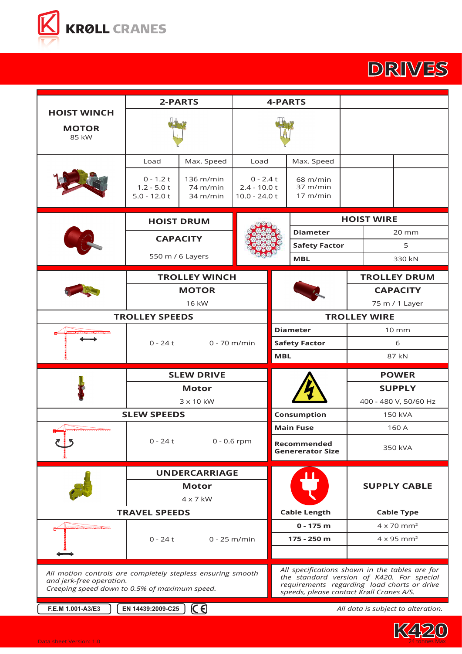

## **DRIVES**

|                                                                                                                                          | 2-PARTS                                                                                                                                                                                |                                   |                                        | <b>4-PARTS</b>                                  |                                            |                               |                   |                                    |
|------------------------------------------------------------------------------------------------------------------------------------------|----------------------------------------------------------------------------------------------------------------------------------------------------------------------------------------|-----------------------------------|----------------------------------------|-------------------------------------------------|--------------------------------------------|-------------------------------|-------------------|------------------------------------|
| <b>HOIST WINCH</b><br><b>MOTOR</b><br>85 kW                                                                                              |                                                                                                                                                                                        |                                   |                                        |                                                 |                                            |                               |                   |                                    |
|                                                                                                                                          | Load                                                                                                                                                                                   | Load                              |                                        | Max. Speed                                      |                                            |                               |                   |                                    |
|                                                                                                                                          | $0 - 1.2 t$<br>$1.2 - 5.0t$<br>$5.0 - 12.0 t$                                                                                                                                          | 136 m/min<br>74 m/min<br>34 m/min |                                        | $0 - 2.4t$<br>$2.4 - 10.0 t$<br>$10.0 - 24.0 t$ | $68 \text{ m/min}$<br>37 m/min<br>17 m/min |                               |                   |                                    |
|                                                                                                                                          | <b>HOIST DRUM</b>                                                                                                                                                                      |                                   |                                        |                                                 | <b>HOIST WIRE</b>                          |                               |                   |                                    |
|                                                                                                                                          | <b>CAPACITY</b>                                                                                                                                                                        |                                   |                                        |                                                 | <b>Diameter</b>                            |                               | $20 \, \text{mm}$ |                                    |
|                                                                                                                                          |                                                                                                                                                                                        |                                   |                                        |                                                 | <b>Safety Factor</b>                       | 5                             |                   |                                    |
|                                                                                                                                          | 550 m / 6 Layers                                                                                                                                                                       |                                   |                                        |                                                 | <b>MBL</b>                                 | 330 kN                        |                   |                                    |
|                                                                                                                                          |                                                                                                                                                                                        | <b>TROLLEY WINCH</b>              |                                        |                                                 |                                            | <b>TROLLEY DRUM</b>           |                   |                                    |
|                                                                                                                                          |                                                                                                                                                                                        | <b>MOTOR</b>                      |                                        |                                                 |                                            |                               | <b>CAPACITY</b>   |                                    |
|                                                                                                                                          |                                                                                                                                                                                        | 16 kW                             |                                        |                                                 |                                            | 75 m / 1 Layer                |                   |                                    |
|                                                                                                                                          | <b>TROLLEY SPEEDS</b>                                                                                                                                                                  |                                   |                                        |                                                 | <b>TROLLEY WIRE</b>                        |                               |                   |                                    |
| <b>WANNAMARAMARAMAR</b>                                                                                                                  |                                                                                                                                                                                        |                                   |                                        | <b>Diameter</b>                                 |                                            | $10 \, \text{mm}$             |                   |                                    |
|                                                                                                                                          | $0 - 24t$                                                                                                                                                                              | $0 - 70$ m/min                    |                                        | <b>Safety Factor</b>                            |                                            | 6                             |                   |                                    |
|                                                                                                                                          |                                                                                                                                                                                        |                                   | <b>MBL</b>                             |                                                 | 87 kN                                      |                               |                   |                                    |
|                                                                                                                                          |                                                                                                                                                                                        | <b>SLEW DRIVE</b>                 |                                        |                                                 | <b>POWER</b>                               |                               |                   |                                    |
|                                                                                                                                          |                                                                                                                                                                                        | <b>Motor</b>                      |                                        |                                                 |                                            | <b>SUPPLY</b>                 |                   |                                    |
|                                                                                                                                          |                                                                                                                                                                                        | 3 x 10 kW                         |                                        |                                                 | 400 - 480 V, 50/60 Hz                      |                               |                   |                                    |
|                                                                                                                                          | <b>SLEW SPEEDS</b>                                                                                                                                                                     |                                   |                                        | Consumption                                     |                                            | 150 kVA                       |                   |                                    |
| <b>WWWWWWWWWWW</b>                                                                                                                       |                                                                                                                                                                                        |                                   |                                        |                                                 | <b>Main Fuse</b>                           |                               | 160 A             |                                    |
|                                                                                                                                          | $0 - 24t$                                                                                                                                                                              | $0 - 0.6$ rpm                     | Recommended<br><b>Genererator Size</b> |                                                 | 350 kVA                                    |                               |                   |                                    |
|                                                                                                                                          |                                                                                                                                                                                        | <b>UNDERCARRIAGE</b>              |                                        |                                                 |                                            |                               |                   |                                    |
|                                                                                                                                          |                                                                                                                                                                                        | <b>Motor</b>                      |                                        |                                                 |                                            | <b>SUPPLY CABLE</b>           |                   |                                    |
|                                                                                                                                          |                                                                                                                                                                                        | $4 \times 7$ kW                   |                                        |                                                 |                                            |                               |                   |                                    |
|                                                                                                                                          | <b>TRAVEL SPEEDS</b>                                                                                                                                                                   |                                   |                                        | <b>Cable Length</b>                             |                                            | <b>Cable Type</b>             |                   |                                    |
| <b>WWWWWWWWWWWW</b>                                                                                                                      |                                                                                                                                                                                        |                                   |                                        |                                                 | $0 - 175$ m                                | $4 \times 70$ mm <sup>2</sup> |                   |                                    |
|                                                                                                                                          | $0 - 24t$                                                                                                                                                                              | $0 - 25$ m/min                    |                                        |                                                 | 175 - 250 m                                |                               |                   | $4 \times 95$ mm <sup>2</sup>      |
|                                                                                                                                          |                                                                                                                                                                                        |                                   |                                        |                                                 |                                            |                               |                   |                                    |
| All motion controls are completely stepless ensuring smooth<br>and jerk-free operation.<br>Creeping speed down to 0.5% of maximum speed. | All specifications shown in the tables are for<br>the standard version of K420. For special<br>requirements regarding load charts or drive<br>speeds, please contact Krøll Cranes A/S. |                                   |                                        |                                                 |                                            |                               |                   |                                    |
| F.E.M 1.001-A3/E3                                                                                                                        | EN 14439:2009-C25                                                                                                                                                                      | $C \Theta$                        |                                        |                                                 |                                            |                               |                   | All data is subject to alteration. |